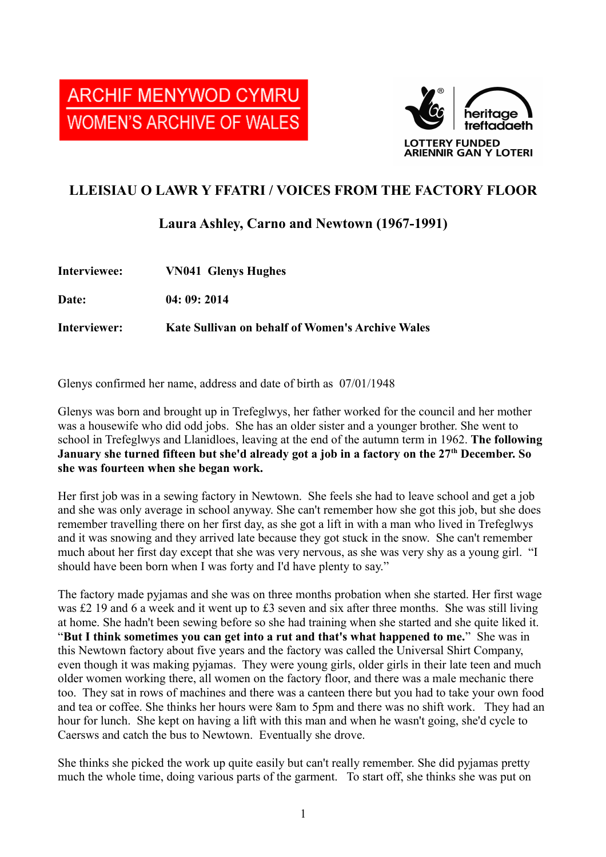



## **LLEISIAU O LAWR Y FFATRI / VOICES FROM THE FACTORY FLOOR**

## **Laura Ashley, Carno and Newtown (1967-1991)**

| Interviewee: | <b>VN041 Glenys Hughes</b>                              |
|--------------|---------------------------------------------------------|
| Date:        | 04:09:2014                                              |
| Interviewer: | <b>Kate Sullivan on behalf of Women's Archive Wales</b> |

Glenys confirmed her name, address and date of birth as 07/01/1948

Glenys was born and brought up in Trefeglwys, her father worked for the council and her mother was a housewife who did odd jobs. She has an older sister and a younger brother. She went to school in Trefeglwys and Llanidloes, leaving at the end of the autumn term in 1962. **The following January she turned fifteen but she'd already got a job in a factory on the 27th December. So she was fourteen when she began work.** 

Her first job was in a sewing factory in Newtown. She feels she had to leave school and get a job and she was only average in school anyway. She can't remember how she got this job, but she does remember travelling there on her first day, as she got a lift in with a man who lived in Trefeglwys and it was snowing and they arrived late because they got stuck in the snow. She can't remember much about her first day except that she was very nervous, as she was very shy as a young girl. "I should have been born when I was forty and I'd have plenty to say."

The factory made pyjamas and she was on three months probation when she started. Her first wage was £2 19 and 6 a week and it went up to £3 seven and six after three months. She was still living at home. She hadn't been sewing before so she had training when she started and she quite liked it. "**But I think sometimes you can get into a rut and that's what happened to me.**" She was in this Newtown factory about five years and the factory was called the Universal Shirt Company, even though it was making pyjamas. They were young girls, older girls in their late teen and much older women working there, all women on the factory floor, and there was a male mechanic there too. They sat in rows of machines and there was a canteen there but you had to take your own food and tea or coffee. She thinks her hours were 8am to 5pm and there was no shift work. They had an hour for lunch. She kept on having a lift with this man and when he wasn't going, she'd cycle to Caersws and catch the bus to Newtown. Eventually she drove.

She thinks she picked the work up quite easily but can't really remember. She did pyjamas pretty much the whole time, doing various parts of the garment. To start off, she thinks she was put on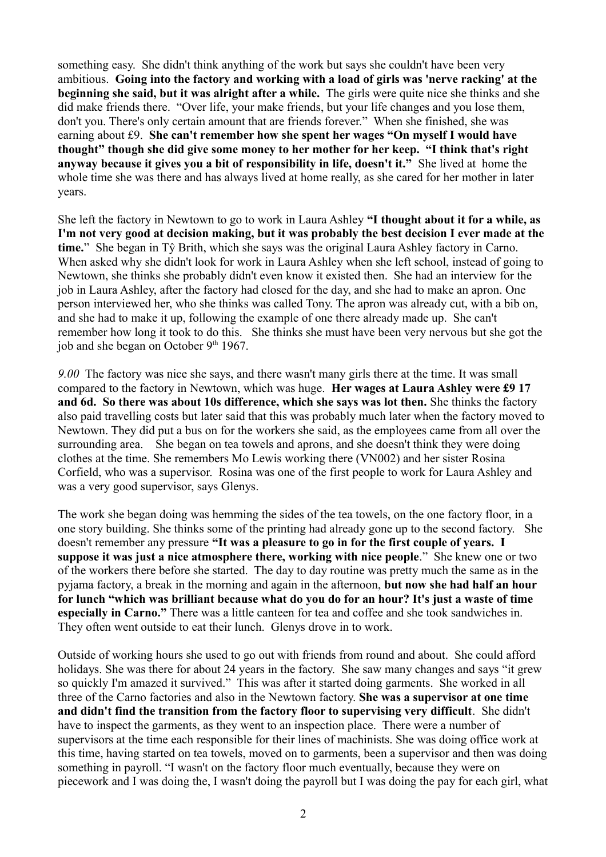something easy. She didn't think anything of the work but says she couldn't have been very ambitious. **Going into the factory and working with a load of girls was 'nerve racking' at the beginning she said, but it was alright after a while.** The girls were quite nice she thinks and she did make friends there. "Over life, your make friends, but your life changes and you lose them, don't you. There's only certain amount that are friends forever." When she finished, she was earning about £9. **She can't remember how she spent her wages "On myself I would have thought" though she did give some money to her mother for her keep. "I think that's right anyway because it gives you a bit of responsibility in life, doesn't it."** She lived at home the whole time she was there and has always lived at home really, as she cared for her mother in later years.

She left the factory in Newtown to go to work in Laura Ashley **"I thought about it for a while, as I'm not very good at decision making, but it was probably the best decision I ever made at the time.**" She began in Tŷ Brith, which she says was the original Laura Ashley factory in Carno. When asked why she didn't look for work in Laura Ashley when she left school, instead of going to Newtown, she thinks she probably didn't even know it existed then. She had an interview for the job in Laura Ashley, after the factory had closed for the day, and she had to make an apron. One person interviewed her, who she thinks was called Tony. The apron was already cut, with a bib on, and she had to make it up, following the example of one there already made up. She can't remember how long it took to do this. She thinks she must have been very nervous but she got the job and she began on October  $9<sup>th</sup> 1967$ .

*9.00* The factory was nice she says, and there wasn't many girls there at the time. It was small compared to the factory in Newtown, which was huge. **Her wages at Laura Ashley were £9 17 and 6d. So there was about 10s difference, which she says was lot then.** She thinks the factory also paid travelling costs but later said that this was probably much later when the factory moved to Newtown. They did put a bus on for the workers she said, as the employees came from all over the surrounding area. She began on tea towels and aprons, and she doesn't think they were doing clothes at the time. She remembers Mo Lewis working there (VN002) and her sister Rosina Corfield, who was a supervisor. Rosina was one of the first people to work for Laura Ashley and was a very good supervisor, says Glenys.

The work she began doing was hemming the sides of the tea towels, on the one factory floor, in a one story building. She thinks some of the printing had already gone up to the second factory. She doesn't remember any pressure **"It was a pleasure to go in for the first couple of years. I suppose it was just a nice atmosphere there, working with nice people**." She knew one or two of the workers there before she started. The day to day routine was pretty much the same as in the pyjama factory, a break in the morning and again in the afternoon, **but now she had half an hour for lunch "which was brilliant because what do you do for an hour? It's just a waste of time especially in Carno."** There was a little canteen for tea and coffee and she took sandwiches in. They often went outside to eat their lunch. Glenys drove in to work.

Outside of working hours she used to go out with friends from round and about. She could afford holidays. She was there for about 24 years in the factory. She saw many changes and says "it grew so quickly I'm amazed it survived." This was after it started doing garments. She worked in all three of the Carno factories and also in the Newtown factory. **She was a supervisor at one time and didn't find the transition from the factory floor to supervising very difficult**. She didn't have to inspect the garments, as they went to an inspection place. There were a number of supervisors at the time each responsible for their lines of machinists. She was doing office work at this time, having started on tea towels, moved on to garments, been a supervisor and then was doing something in payroll. "I wasn't on the factory floor much eventually, because they were on piecework and I was doing the, I wasn't doing the payroll but I was doing the pay for each girl, what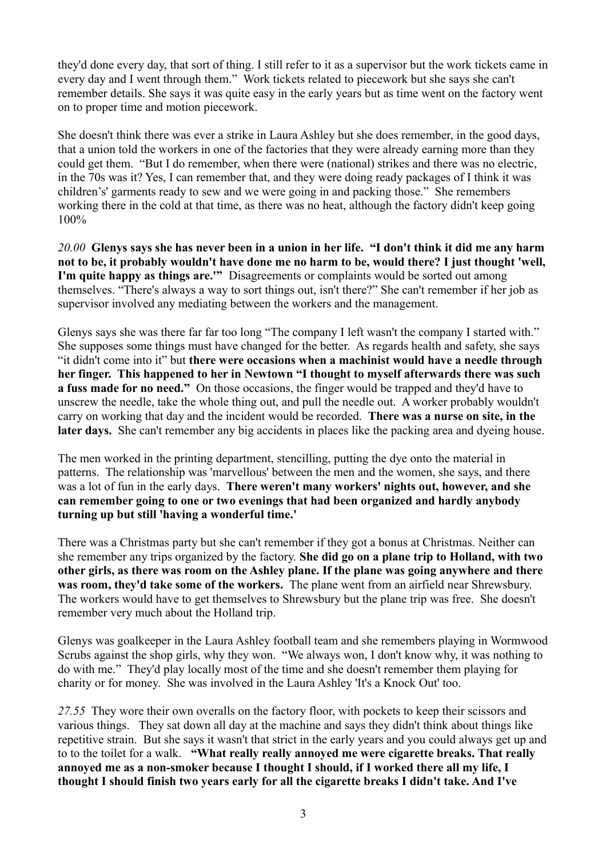they'd done every day, that sort of thing. I still refer to it as a supervisor but the work tickets came in every day and I went through them." Work tickets related to piecework but she says she can't remember details. She says it was quite easy in the early years but as time went on the factory went on to proper time and motion piecework.

She doesn't think there was ever a strike in Laura Ashley but she does remember, in the good days, that a union told the workers in one of the factories that they were already earning more than they could get them. "But I do remember, when there were (national) strikes and there was no electric, in the 70s was it? Yes, I can remember that, and they were doing ready packages of I think it was children's' garments ready to sew and we were going in and packing those." She remembers working there in the cold at that time, as there was no heat, although the factory didn't keep going 100%

*20.00* **Glenys says she has never been in a union in her life. "I don't think it did me any harm not to be, it probably wouldn't have done me no harm to be, would there? I just thought 'well, I'm quite happy as things are.'"** Disagreements or complaints would be sorted out among themselves. "There's always a way to sort things out, isn't there?" She can't remember if her job as supervisor involved any mediating between the workers and the management.

Glenys says she was there far far too long "The company I left wasn't the company I started with." She supposes some things must have changed for the better. As regards health and safety, she says "it didn't come into it" but **there were occasions when a machinist would have a needle through her finger. This happened to her in Newtown "I thought to myself afterwards there was such a fuss made for no need."** On those occasions, the finger would be trapped and they'd have to unscrew the needle, take the whole thing out, and pull the needle out. A worker probably wouldn't carry on working that day and the incident would be recorded. **There was a nurse on site, in the later days.** She can't remember any big accidents in places like the packing area and dyeing house.

The men worked in the printing department, stencilling, putting the dye onto the material in patterns. The relationship was 'marvellous' between the men and the women, she says, and there was a lot of fun in the early days. **There weren't many workers' nights out, however, and she can remember going to one or two evenings that had been organized and hardly anybody turning up but still 'having a wonderful time.'**

There was a Christmas party but she can't remember if they got a bonus at Christmas. Neither can she remember any trips organized by the factory. **She did go on a plane trip to Holland, with two other girls, as there was room on the Ashley plane. If the plane was going anywhere and there was room, they'd take some of the workers.** The plane went from an airfield near Shrewsbury. The workers would have to get themselves to Shrewsbury but the plane trip was free. She doesn't remember very much about the Holland trip.

Glenys was goalkeeper in the Laura Ashley football team and she remembers playing in Wormwood Scrubs against the shop girls, why they won. "We always won, I don't know why, it was nothing to do with me." They'd play locally most of the time and she doesn't remember them playing for charity or for money. She was involved in the Laura Ashley 'It's a Knock Out' too.

*27.55* They wore their own overalls on the factory floor, with pockets to keep their scissors and various things. They sat down all day at the machine and says they didn't think about things like repetitive strain. But she says it wasn't that strict in the early years and you could always get up and to to the toilet for a walk. **"What really really annoyed me were cigarette breaks. That really annoyed me as a non-smoker because I thought I should, if I worked there all my life, I thought I should finish two years early for all the cigarette breaks I didn't take. And I've**